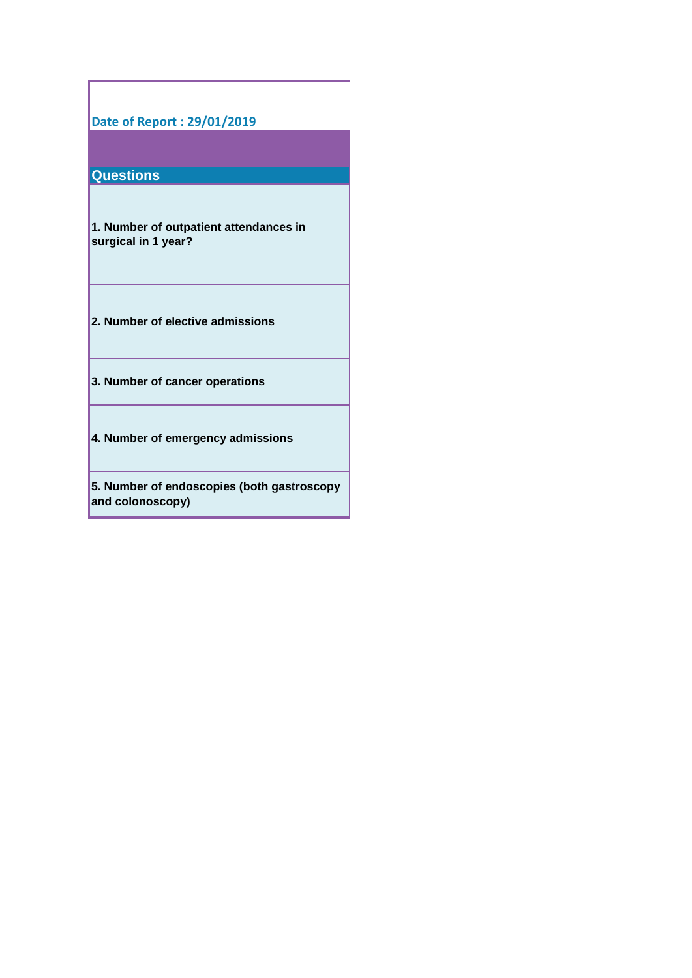### **Date of Report : 29/01/2019**

## **Questions**

**1. Number of outpatient attendances in surgical in 1 year?**

- **2. Number of elective admissions**
- **3. Number of cancer operations**
- **4. Number of emergency admissions**

**5. Number of endoscopies (both gastroscopy and colonoscopy)**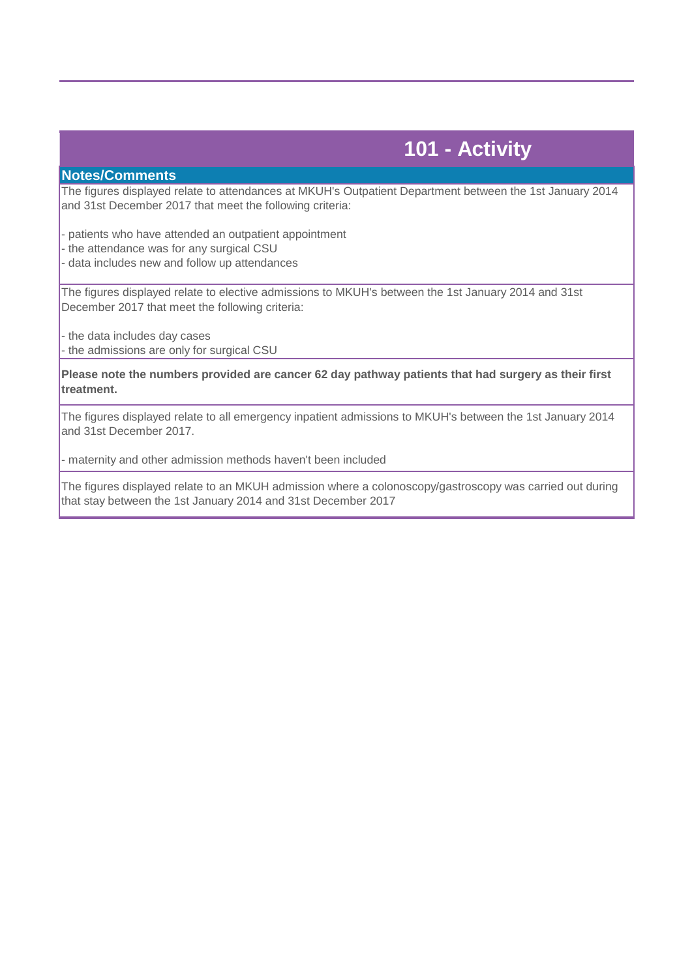# **101 - Activity**

#### **Notes/Comments**

The figures displayed relate to attendances at MKUH's Outpatient Department between the 1st January 2014 and 31st December 2017 that meet the following criteria:

- patients who have attended an outpatient appointment - the attendance was for any surgical CSU - data includes new and follow up attendances

The figures displayed relate to elective admissions to MKUH's between the 1st January 2014 and 31st December 2017 that meet the following criteria:

- the data includes day cases - the admissions are only for surgical CSU

**Please note the numbers provided are cancer 62 day pathway patients that had surgery as their first treatment.**

The figures displayed relate to all emergency inpatient admissions to MKUH's between the 1st January 2014 and 31st December 2017.

- maternity and other admission methods haven't been included

The figures displayed relate to an MKUH admission where a colonoscopy/gastroscopy was carried out during that stay between the 1st January 2014 and 31st December 2017